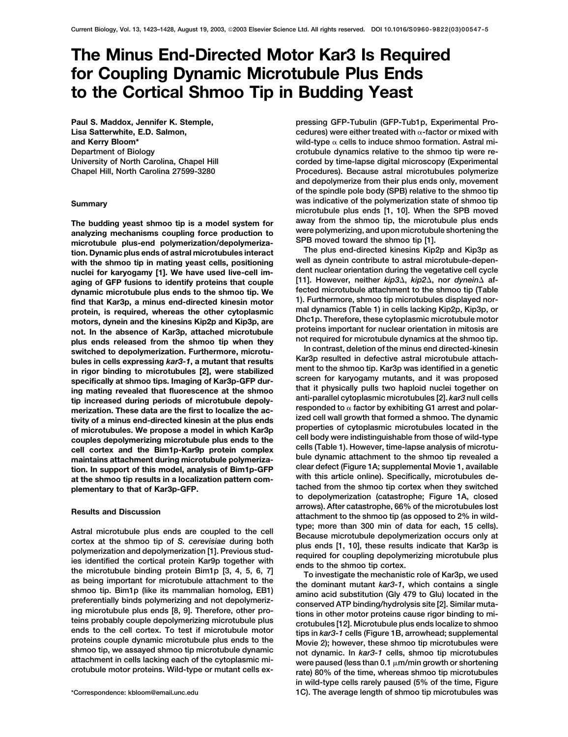# **The Minus End-Directed Motor Kar3 Is Required for Coupling Dynamic Microtubule Plus Ends to the Cortical Shmoo Tip in Budding Yeast**

**Paul S. Maddox, Jennifer K. Stemple, Lisa Satterwhite, E.D. Salmon, and Kerry Bloom\* Department of Biology University of North Carolina, Chapel Hill**

microtubule plus-end polymerization/depolymeriza-**The plus end-directed kinesins Kip2p and Kip3p as tion. Dynamic plus ends of astral microtubules interact** with the shmoo tip in mating yeast cells, positioning well as dynein contribute to astral microtubule-depen-<br>
puclei for karyogamy [1] We have used live-cell im-<br>
dent nuclear orientation during the vegetative cell cycle **nuclei for karyogamy [1]. We have used live-cell im-**<br>aging of GFP fusions to identify proteins that couple [11]. However, neither *kip3∆, kip2∆,* nor *dynein∆* afaging of GFP fusions to identify proteins that couple dynamic microtubule plus ends to the shmoo tip. We dynamic microtubule plus ends to the shmoo tip. We find that Kar3p, a minus end-directed kinesin motor protein, is r **motors, dynein and the kinesins Kip2p and Kip3p, are Dhc1p. Therefore, these cytoplasmic microtubule motor** not. In the absence of Kar3p, attached microtubule<br>plus ends released from the shmoo tip when they<br>switched to depolymerization. Furthermore, microtu-<br>bules in cells expressing kar3-1, a mutant that results<br>here at a cells bules in cells expressing *kar3*-1, a mutant that results<br>in rigor binding to microtubules [2], were stabilized<br>specifically at shmoo tips. Imaging of Kar3p-GFP dur-<br>ing mating revealed that fluorescence at the shmoo<br>tip **merization. These data are the first to localize the ac- responded to**  $\alpha$  **ractor by exhibiting G1 arrest and polar-**<br>tivity of a minus and-directed kinesin at the plus ands **fixed cell wall growth that formed a shmoo.** tivity of a minus end-directed kinesin at the plus ends<br>of microtubules. We propose a model in which Kar3p<br>couples depolymerizing microtubule plus ends to the<br>cell body were indistinguishable from those of wild-type<br>cell c **maintains attachment during microtubule polymeriza- bule dynamic attachment to the shmoo tip revealed a**

Astral microtubule plus ends are coupled to the cell<br>cortex at the shmoo tip of S. cerewisiae during both<br>cortex at the shmoo tip of S. cerewisiae during both<br>plus ends [1, 10], these results indicate that Kar3p is<br>is ide

**pressing GFP-Tubulin (GFP-Tub1p, Experimental Procedures)** were either treated with α-factor or mixed with wild-type  $\alpha$  cells to induce shmoo formation. Astral mi**crotubule dynamics relative to the shmoo tip were recorded by time-lapse digital microscopy (Experimental Chapel Hill, North Carolina 27599-3280 Procedures). Because astral microtubules polymerize and depolymerize from their plus ends only, movement of the spindle pole body (SPB) relative to the shmoo tip was indicative of the polymerization state of shmoo tip Summary microtubule plus ends [1, 10]. When the SPB moved** The budding yeast shmoo tip is a model system for<br>away from the shmoo tip, the microtubule plus ends<br>analyzing mechanisms coupling force production to<br>microtubule plus-end polymerization/depolymeriza-<br>SPB moved toward the

tion. In support of this model, analysis of Bim1p-GFP clear defect (Figure 1A; supplemental Movie 1, available<br>at the shmoo tip results in a localization pattern com-<br>plementary to that of Kar3p-GFP. the state of the shmoo **arrows). After catastrophe, 66% of the microtubules lost Results and Discussion attachment to the shmoo tip (as opposed to 2% in wild-**

**in wild-type cells rarely paused (5% of the time, Figure \*Correspondence: kbloom@email.unc.edu 1C). The average length of shmoo tip microtubules was**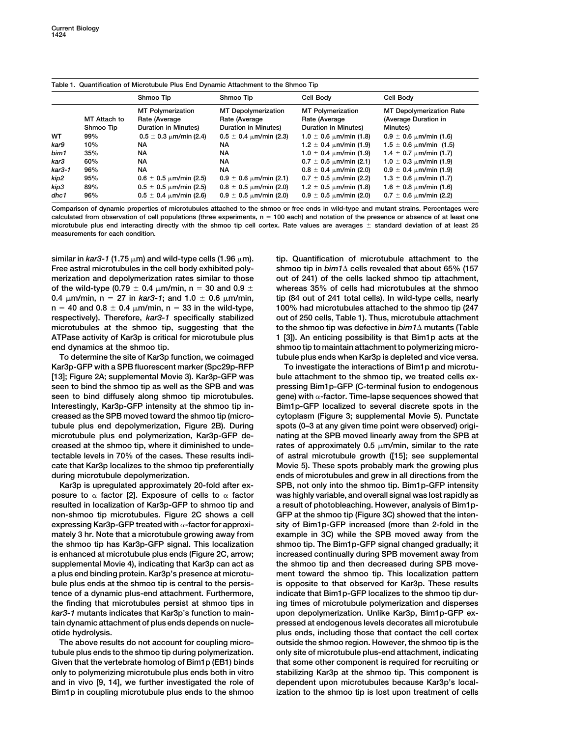|        |              | Shmoo Tip                       | Shmoo Tip                     | Cell Body                       | Cell Body                       |
|--------|--------------|---------------------------------|-------------------------------|---------------------------------|---------------------------------|
|        |              | <b>MT Polymerization</b>        | <b>MT</b> Depolymerization    | <b>MT Polymerization</b>        | <b>MT Depolymerization Rate</b> |
|        | MT Attach to | Rate (Average                   | Rate (Average                 | Rate (Average                   | (Average Duration in            |
|        | Shmoo Tip    | Duration in Minutes)            | Duration in Minutes)          | Duration in Minutes)            | Minutes)                        |
| WT     | 99%          | $0.5 \pm 0.3 \mu m/min (2.4)$   | $0.5 \pm 0.4 \mu m/min (2.3)$ | 1.0 $\pm$ 0.6 $\mu$ m/min (1.8) | $0.9 \pm 0.6$ $\mu$ m/min (1.6) |
| kar9   | 10%          | NA                              | NA                            | $1.2 \pm 0.4 \mu m/min (1.9)$   | $1.5 \pm 0.6 \mu m/min$ (1.5)   |
| bim1   | 35%          | NA                              | <b>NA</b>                     | $1.0 \pm 0.4 \mu m/min (1.9)$   | 1.4 $\pm$ 0.7 $\mu$ m/min (1.7) |
| kar3   | 60%          | NA.                             | <b>NA</b>                     | $0.7 \pm 0.5 \mu m/min (2.1)$   | $1.0 \pm 0.3 \mu m/min (1.9)$   |
| kar3-1 | 96%          | NA.                             | NA                            | $0.8 \pm 0.4 \mu m/min (2.0)$   | $0.9 \pm 0.4 \mu m/min (1.9)$   |
| kip2   | 95%          | $0.6 \pm 0.5 \mu m/min (2.5)$   | $0.9 \pm 0.6 \mu m/min (2.1)$ | $0.7 \pm 0.5$ $\mu$ m/min (2.2) | 1.3 $\pm$ 0.6 $\mu$ m/min (1.7) |
| kip3   | 89%          | $0.5 \pm 0.5$ $\mu$ m/min (2.5) | $0.8 \pm 0.5 \mu m/min (2.0)$ | $1.2 \pm 0.5 \mu m/min (1.8)$   | 1.6 $\pm$ 0.8 $\mu$ m/min (1.6) |
| dhc1   | 96%          | $0.5 \pm 0.4 \mu m/min (2.6)$   | $0.9 \pm 0.5 \mu m/min (2.0)$ | $0.9 \pm 0.5 \mu m/min (2.0)$   | $0.7 \pm 0.6$ $\mu$ m/min (2.2) |

**Table 1. Quantification of Microtubule Plus End Dynamic Attachment to the Shmoo Tip**

**Comparison of dynamic properties of microtubules attached to the shmoo or free ends in wild-type and mutant strains. Percentages were calculated from observation of cell populations (three experiments, n 100 each) and notation of the presence or absence of at least one microtubule plus end interacting directly with the shmoo tip cell cortex. Rate values are averages standard deviation of at least 25 measurements for each condition.**

**similar in** *kar3-1* **(1.75 m) and wild-type cells (1.96 m). tip. Quantification of microtubule attachment to the** Free astral microtubules in the cell body exhibited poly**merization and depolymerization rates similar to those out of 241) of the cells lacked shmoo tip attachment,** of the wild-type (0.79  $\pm$  0.4  $\mu$ m/min, n = 30 and 0.9  $\pm$  whereas 35% of cells had microtubules at the shmoo 0.4  $\mu$ m/min, n = 27 in *kar3-1*; and 1.0  $\pm$  0.6  $\mu$ m/min, tip (84 out of 241 total cells). In wild-type cells, nearly **n 40 and 0.8 0.4 m/min, n 33 in the wild-type, 100% had microtubules attached to the shmoo tip (247 respectively). Therefore,** *kar3-1* **specifically stabilized out of 250 cells, Table 1). Thus, microtubule attachment** microtubules at the shmoo tip, suggesting that the **ATPase activity of Kar3p is critical for microtubule plus 1 [3]). An enticing possibility is that Bim1p acts at the end dynamics at the shmoo tip. shmoo tip to maintain attachment to polymerizing micro-**

**Kar3p-GFP with a SPB fluorescent marker (Spc29p-RFP To investigate the interactions of Bim1p and microtu- [13]; Figure 2A; supplemental Movie 3). Kar3p-GFP was bule attachment to the shmoo tip, we treated cells exseen to bind the shmoo tip as well as the SPB and was pressing Bim1p-GFP (C-terminal fusion to endogenous** seen to bind diffusely along shmoo tip microtubules. gene) with  $\alpha$ -factor. Time-lapse sequences showed that **Interestingly, Kar3p-GFP intensity at the shmoo tip in- Bim1p-GFP localized to several discrete spots in the creased as the SPB moved toward the shmoo tip (micro- cytoplasm (Figure 3; supplemental Movie 5). Punctate tubule plus end depolymerization, Figure 2B). During spots (0–3 at any given time point were observed) origimicrotubule plus end polymerization, Kar3p-GFP de- nating at the SPB moved linearly away from the SPB at creased at the shmoo tip, where it diminished to unde- rates of approximately 0.5 m/min, similar to the rate tectable levels in 70% of the cases. These results indi- of astral microtubule growth ([15]; see supplemental cate that Kar3p localizes to the shmoo tip preferentially Movie 5). These spots probably mark the growing plus during microtubule depolymerization. ends of microtubules and grew in all directions from the**

**posure to factor [2]. Exposure of cells to factor was highly variable, and overall signal was lost rapidly as resulted in localization of Kar3p-GFP to shmoo tip and a result of photobleaching. However, analysis of Bim1pnon-shmoo tip microtubules. Figure 2C shows a cell GFP at the shmoo tip (Figure 3C) showed that the intenexpressing Kar3p-GFP treated with -factor for approxi- sity of Bim1p-GFP increased (more than 2-fold in the mately 3 hr. Note that a microtubule growing away from example in 3C) while the SPB moved away from the the shmoo tip has Kar3p-GFP signal. This localization shmoo tip. The Bim1p-GFP signal changed gradually; it is enhanced at microtubule plus ends (Figure 2C, arrow; increased continually during SPB movement away from supplemental Movie 4), indicating that Kar3p can act as the shmoo tip and then decreased during SPB movea plus end binding protein. Kar3p's presence at microtu- ment toward the shmoo tip. This localization pattern bule plus ends at the shmoo tip is central to the persis- is opposite to that observed for Kar3p. These results tence of a dynamic plus-end attachment. Furthermore, indicate that Bim1p-GFP localizes to the shmoo tip durthe finding that microtubules persist at shmoo tips in ing times of microtubule polymerization and disperses** *kar3-1* **mutants indicates that Kar3p's function to main- upon depolymerization. Unlike Kar3p, Bim1p-GFP extain dynamic attachment of plus ends depends on nucle- pressed at endogenous levels decorates all microtubule**

**tubule plus ends to the shmoo tip during polymerization. only site of microtubule plus-end attachment, indicating only to polymerizing microtubule plus ends both in vitro stabilizing Kar3p at the shmoo tip. This component is** Bim1p in coupling microtubule plus ends to the shmoo ization to the shmoo tip is lost upon treatment of cells

shmoo tip in bim1 $\triangle$  cells revealed that about 65% (157 to the shmoo tip was defective in  $\text{bim1}\Delta$  mutants (Table **To determine the site of Kar3p function, we coimaged tubule plus ends when Kar3p is depleted and vice versa.**

**Kar3p is upregulated approximately 20-fold after ex- SPB, not only into the shmoo tip. Bim1p-GFP intensity otide hydrolysis. plus ends, including those that contact the cell cortex The above results do not account for coupling micro- outside the shmoo region. However, the shmoo tip is the Given that the vertebrate homolog of Bim1p (EB1) binds that some other component is required for recruiting or and in vivo [9, 14], we further investigated the role of dependent upon microtubules because Kar3p's local-**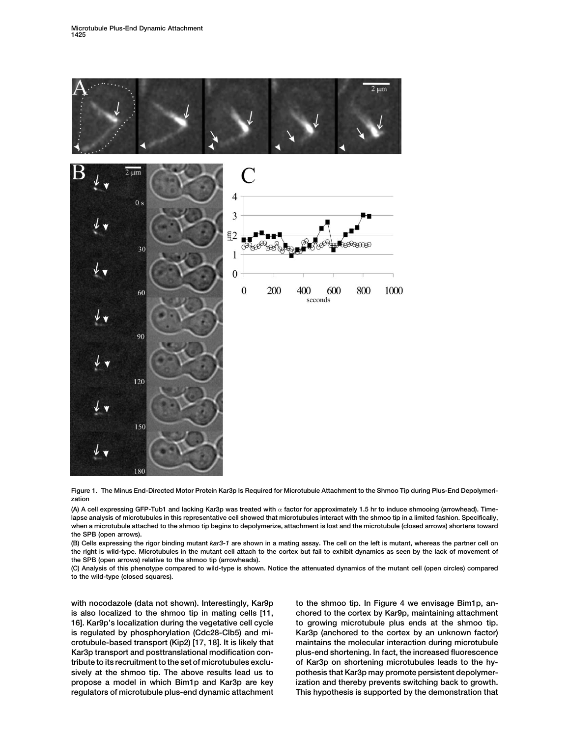

**Figure 1. The Minus End-Directed Motor Protein Kar3p Is Required for Microtubule Attachment to the Shmoo Tip during Plus-End Depolymerization**

**(A) A cell expressing GFP-Tub1 and lacking Kar3p was treated with factor for approximately 1.5 hr to induce shmooing (arrowhead). Timelapse analysis of microtubules in this representative cell showed that microtubules interact with the shmoo tip in a limited fashion. Specifically, when a microtubule attached to the shmoo tip begins to depolymerize, attachment is lost and the microtubule (closed arrows) shortens toward the SPB (open arrows).**

**(B) Cells expressing the rigor binding mutant** *kar3-1* **are shown in a mating assay. The cell on the left is mutant, whereas the partner cell on the right is wild-type. Microtubules in the mutant cell attach to the cortex but fail to exhibit dynamics as seen by the lack of movement of the SPB (open arrows) relative to the shmoo tip (arrowheads).**

**(C) Analysis of this phenotype compared to wild-type is shown. Notice the attenuated dynamics of the mutant cell (open circles) compared to the wild-type (closed squares).**

**is also localized to the shmoo tip in mating cells [11, chored to the cortex by Kar9p, maintaining attachment 16]. Kar9p's localization during the vegetative cell cycle to growing microtubule plus ends at the shmoo tip. is regulated by phosphorylation (Cdc28-Clb5) and mi- Kar3p (anchored to the cortex by an unknown factor) crotubule-based transport (Kip2) [17, 18]. It is likely that maintains the molecular interaction during microtubule Kar3p transport and posttranslational modification con- plus-end shortening. In fact, the increased fluorescence tribute to its recruitment to the set of microtubules exclu- of Kar3p on shortening microtubules leads to the hysively at the shmoo tip. The above results lead us to pothesis that Kar3p may promote persistent depolymerpropose a model in which Bim1p and Kar3p are key ization and thereby prevents switching back to growth. regulators of microtubule plus-end dynamic attachment This hypothesis is supported by the demonstration that**

with nocodazole (data not shown). Interestingly, Kar9p to the shmoo tip. In Figure 4 we envisage Bim1p, an-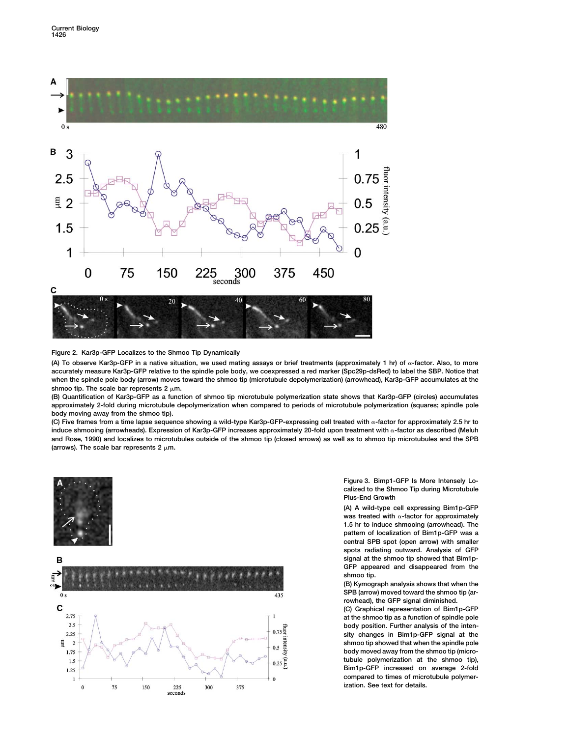

# **Figure 2. Kar3p-GFP Localizes to the Shmoo Tip Dynamically**

**(A) To observe Kar3p-GFP in a native situation, we used mating assays or brief treatments (approximately 1 hr) of -factor. Also, to more accurately measure Kar3p-GFP relative to the spindle pole body, we coexpressed a red marker (Spc29p-dsRed) to label the SBP. Notice that when the spindle pole body (arrow) moves toward the shmoo tip (microtubule depolymerization) (arrowhead), Kar3p-GFP accumulates at the** shmoo tip. The scale bar represents  $2 \mu m$ .

**(B) Quantification of Kar3p-GFP as a function of shmoo tip microtubule polymerization state shows that Kar3p-GFP (circles) accumulates approximately 2-fold during microtubule depolymerization when compared to periods of microtubule polymerization (squares; spindle pole body moving away from the shmoo tip).**

(C) Five frames from a time lapse sequence showing a wild-type Kar3p-GFP-expressing cell treated with  $\alpha$ -factor for approximately 2.5 hr to induce shmooing (arrowheads). Expression of Kar3p-GFP increases approximately 20-fold upon treatment with  $\alpha$ -factor as described (Meluh **and Rose, 1990) and localizes to microtubules outside of the shmoo tip (closed arrows) as well as to shmoo tip microtubules and the SPB** (arrows). The scale bar represents  $2 \mu m$ .





**Figure 3. Bimp1-GFP Is More Intensely Localized to the Shmoo Tip during Microtubule Plus-End Growth**

**(A) A wild-type cell expressing Bim1p-GFP** was treated with  $\alpha$ -factor for approximately **1.5 hr to induce shmooing (arrowhead). The pattern of localization of Bim1p-GFP was a central SPB spot (open arrow) with smaller spots radiating outward. Analysis of GFP signal at the shmoo tip showed that Bim1p-GFP appeared and disappeared from the shmoo tip.**

**(B) Kymograph analysis shows that when the SPB (arrow) moved toward the shmoo tip (arrowhead), the GFP signal diminished.**

**(C) Graphical representation of Bim1p-GFP at the shmoo tip as a function of spindle pole body position. Further analysis of the intensity changes in Bim1p-GFP signal at the shmoo tip showed that when the spindle pole body moved away from the shmoo tip (microtubule polymerization at the shmoo tip), Bim1p-GFP increased on average 2-fold compared to times of microtubule polymerization. See text for details.**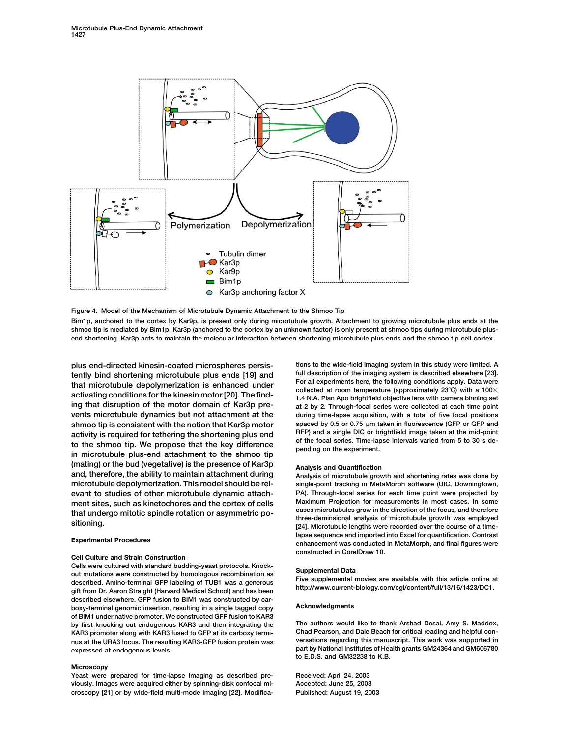

**Figure 4. Model of the Mechanism of Microtubule Dynamic Attachment to the Shmoo Tip**

**Bim1p, anchored to the cortex by Kar9p, is present only during microtubule growth. Attachment to growing microtubule plus ends at the shmoo tip is mediated by Bim1p. Kar3p (anchored to the cortex by an unknown factor) is only present at shmoo tips during microtubule plusend shortening. Kar3p acts to maintain the molecular interaction between shortening microtubule plus ends and the shmoo tip cell cortex.**

**plus end-directed kinesin-coated microspheres persis- tions to the wide-field imaging system in this study were limited. A** tently bind shortening microtubule plus ends [19] and<br>that microtubule depolymerization is enhanced under<br>activating conditions for the kinesin motor [20]. The find-<br>ing that disruption of the motor comain of Kar3p pre-<br>in **vents microtubule dynamics but not attachment at the during time-lapse acquisition, with a total of five focal positions shmoo tip is consistent with the notion that Kar3p motor** spaced by 0.5 or 0.75  $\mu$ m taken in fluorescence (GFP or GFP and a single DIC or brightfield image taken at the mid-point activity is required for tethering the shortening plus end<br>to the shmoo tip. We propose that the key difference<br>in microtubule plus-end attachment to the shmoo tip<br>pending on the experiment. **(mating) or the bud (vegetative) is the presence of Kar3p Analysis and Quantification microtubule depolymerization. This model should be rel- single-point tracking in MetaMorph software (UIC, Downingtown, evant to studies of other microtubule dynamic attach- PA). Through-focal series for each time point were projected by ment sites, such as kinetochores and the cortex of cells Maximum Projection for measurements in most cases. In some**

## **Cell Culture and Strain Construction**

Cells were cultured with standard budding-yeast protocols. Knock-<br>
out mutations were constructed by homologous recombination as<br>
described. Amino-terminal GFP labeling of TUB1 was a generous<br>
gift from Dr. Aaron Straight **described elsewhere. GFP fusion to BIM1 was constructed by carboxy-terminal genomic insertion, resulting in a single tagged copy Acknowledgments of BIM1 under native promoter. We constructed GFP fusion to KAR3 by first knocking out endogenous KAR3 and then integrating the The authors would like to thank Arshad Desai, Amy S. Maddox, KAR3 promoter along with KAR3 fused to GFP at its carboxy termi- Chad Pearson, and Dale Beach for critical reading and helpful connus at the URA3 locus. The resulting KAR3-GFP fusion protein was** 

## **Microscopy**

**Yeast were prepared for time-lapse imaging as described pre- Received: April 24, 2003 viously. Images were acquired either by spinning-disk confocal mi- Accepted: June 25, 2003 croscopy [21] or by wide-field multi-mode imaging [22]. Modifica- Published: August 19, 2003**

at 2 by 2. Through-focal series were collected at each time point

Analysis of microtubule growth and shortening rates was done by that undergo mitotic spindle rotation or asymmetric po-<br>sitioning. whee-deminsional analysis of microtubule grow in the direction of the occupiology<br>gal. Microtubule lengths were recorded over the course of a time**lapse sequence and imported into Excel for quantification. Contrast Experimental Procedures enhancement was conducted in MetaMorph, and final figures were constructed in CorelDraw 10.**

**expressed at endogenous levels. part by National Institutes of Health grants GM24364 and GM606780 to E.D.S. and GM32238 to K.B.**